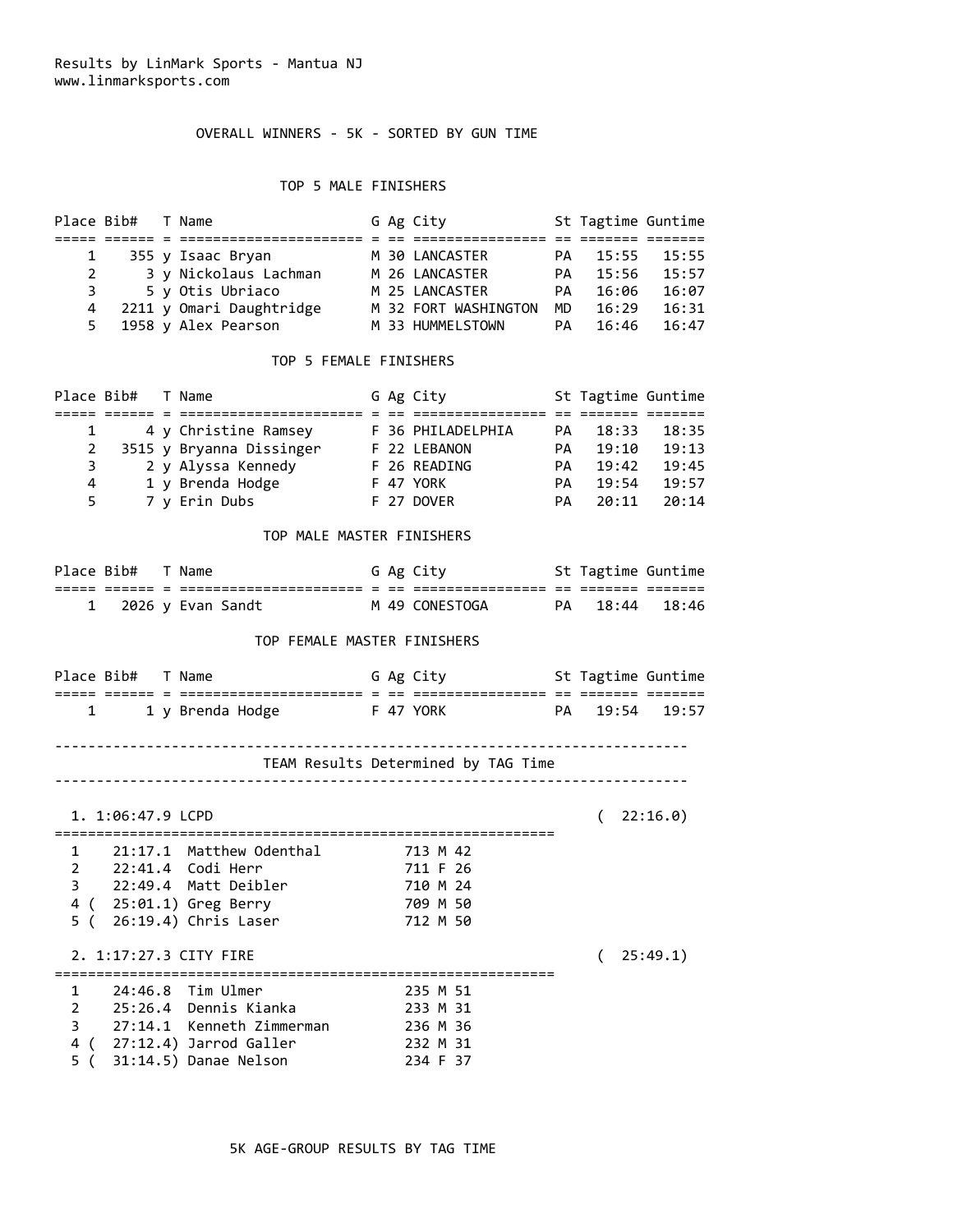# OVERALL WINNERS - 5K - SORTED BY GUN TIME

## TOP 5 MALE FINISHERS

|   | Place Bib# T Name |                          |  | G Ag City            |           | St Tagtime Guntime |       |
|---|-------------------|--------------------------|--|----------------------|-----------|--------------------|-------|
|   |                   |                          |  |                      |           |                    |       |
| 1 |                   | 355 y Isaac Bryan        |  | M 30 LANCASTER       | PA        | 15:55              | 15:55 |
| 2 |                   | 3 y Nickolaus Lachman    |  | M 26 LANCASTER       | <b>PA</b> | 15:56              | 15:57 |
|   | $3 \sim$          | 5 y Otis Ubriaco         |  | M 25 LANCASTER       | PA.       | 16:06              | 16:07 |
| 4 |                   | 2211 y Omari Daughtridge |  | M 32 FORT WASHINGTON | MD.       | 16:29              | 16:31 |
|   |                   | 5 1958 y Alex Pearson    |  | M 33 HUMMELSTOWN     | PA.       | 16:46              | 16:47 |

#### TOP 5 FEMALE FINISHERS

|   | Place Bib# T Name |                          |  | G Ag City         |     | St Tagtime Guntime |       |
|---|-------------------|--------------------------|--|-------------------|-----|--------------------|-------|
|   |                   |                          |  |                   |     |                    |       |
|   |                   | 4 y Christine Ramsey     |  | F 36 PHILADELPHIA | PA. | 18:33              | 18:35 |
| 2 |                   | 3515 y Bryanna Dissinger |  | F 22 LEBANON      | PА. | 19:10              | 19:13 |
| 3 |                   | 2 y Alyssa Kennedy       |  | F 26 READING      | PА. | 19:42              | 19:45 |
| 4 |                   | 1 y Brenda Hodge         |  | F 47 YORK         | PА. | 19:54              | 19:57 |
| 5 |                   | 7 y Erin Dubs            |  | F 27 DOVER        | PА. | 20:11              | 20:14 |

### TOP MALE MASTER FINISHERS

| Place Bib# T Name |                   |  | G Ag City        | St Tagtime Guntime |  |
|-------------------|-------------------|--|------------------|--------------------|--|
|                   |                   |  | ________________ |                    |  |
|                   | 2026 y Evan Sandt |  | M 49 CONESTOGA   | PA 18:44 18:46     |  |

#### TOP FEMALE MASTER FINISHERS

| Place Bib# |  | T Name           |  | G Ag City |    | St Tagtime Guntime |  |
|------------|--|------------------|--|-----------|----|--------------------|--|
|            |  |                  |  |           |    |                    |  |
|            |  | 1 y Brenda Hodge |  | F 47 YORK | PA | . 19:54 19:57      |  |

#### ----------------------------------------------------------------------------

### TEAM Results Determined by TAG Time ----------------------------------------------------------------------------

|                                           | 1. 1:06:47.9 LCPD      |                                                                                                      |                                                          | 22:16.0  |
|-------------------------------------------|------------------------|------------------------------------------------------------------------------------------------------|----------------------------------------------------------|----------|
| 1<br>$2^{\circ}$<br>3 <sup>7</sup><br>5 ( |                        | 21:17.1 Matthew Odenthal<br>22:49.4 Matt Deibler<br>4 (25:01.1) Greg Berry<br>$26:19.4)$ Chris Laser | 713 M 42<br>711 F 26<br>710 M 24<br>709 M 50<br>712 M 50 |          |
|                                           | 2. 1:17:27.3 CITY FIRE |                                                                                                      |                                                          | 25:49.1) |
| $1 \quad$<br>$\mathbf{2}^{\prime}$<br>3   |                        | 24:46.8 Tim Ulmer<br>25:26.4 Dennis Kianka<br>27:14.1 Kenneth Zimmerman                              | 235 M 51<br>233 M 31<br>236 M 36                         |          |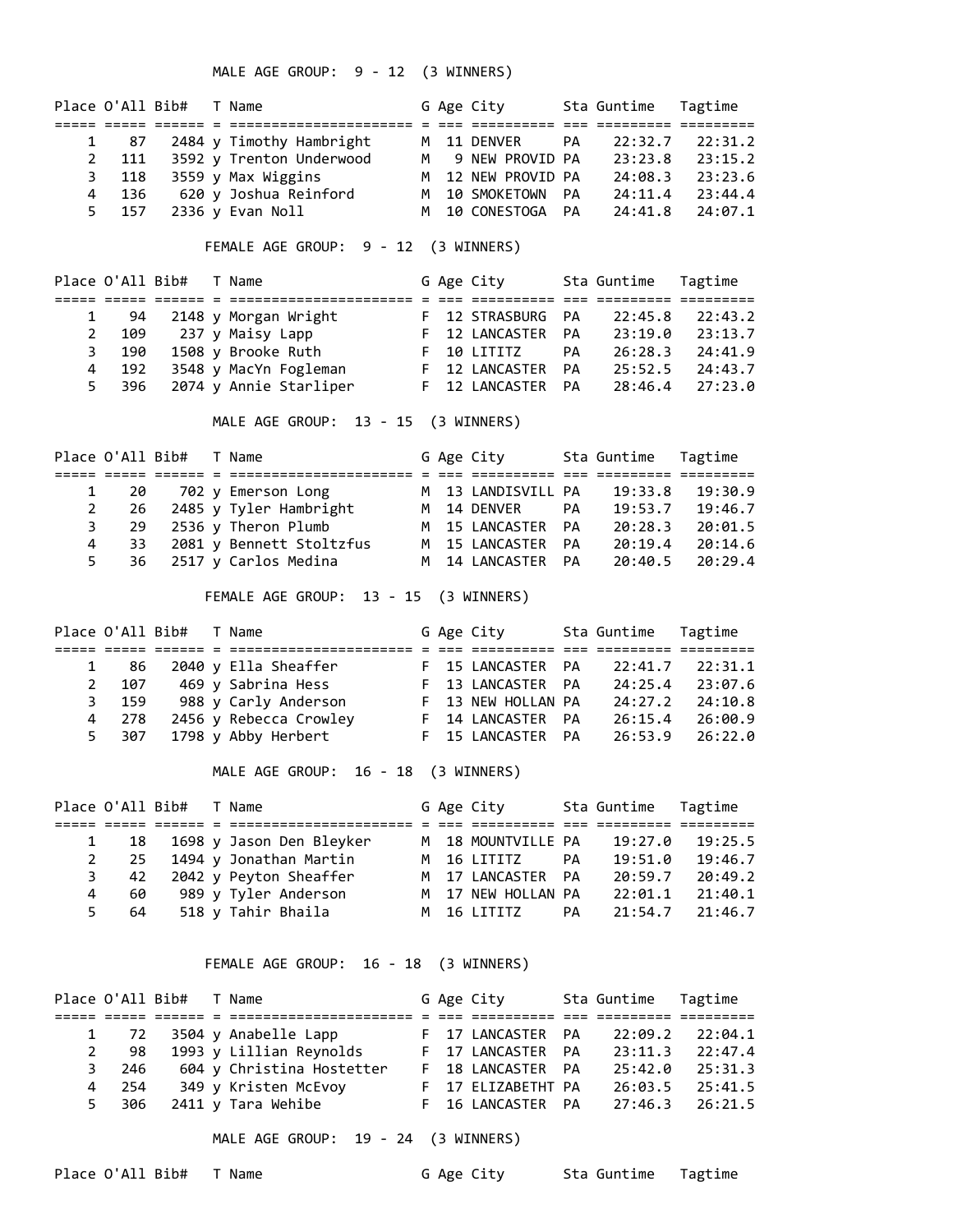MALE AGE GROUP: 9 - 12 (3 WINNERS)

|             |       | Place O'All Bib# T Name |                              |  | G Age City         |           | Sta Guntime Tagtime |         |
|-------------|-------|-------------------------|------------------------------|--|--------------------|-----------|---------------------|---------|
|             |       |                         |                              |  |                    |           |                     |         |
|             | 1 87  |                         | 2484 y Timothy Hambright     |  | M 11 DENVER        | <b>PA</b> | 22:32.7             | 22:31.2 |
| $2^{\circ}$ |       |                         | 111 3592 y Trenton Underwood |  | M 9 NEW PROVID PA  |           | 23:23.8             | 23:15.2 |
|             | 3 118 |                         | 3559 y Max Wiggins           |  | M 12 NEW PROVID PA |           | 24:08.3             | 23:23.6 |
| 4           | 136   |                         | 620 y Joshua Reinford        |  | M 10 SMOKETOWN PA  |           | 24:11.4             | 23:44.4 |
|             | 5 157 |                         | 2336 y Evan Noll             |  | M 10 CONESTOGA PA  |           | 24:41.8             | 24:07.1 |

FEMALE AGE GROUP: 9 - 12 (3 WINNERS)

|    | Place O'All Bib# |  | T Name                 |  | G Age City        |           | Sta Guntime Tagtime |                     |
|----|------------------|--|------------------------|--|-------------------|-----------|---------------------|---------------------|
|    |                  |  |                        |  |                   |           |                     |                     |
|    | 94               |  | 2148 y Morgan Wright   |  | F 12 STRASBURG PA |           | 22:45.8             | 22:43.2             |
| 2  | 109              |  | 237 y Maisy Lapp       |  | F 12 LANCASTER PA |           | 23:19.0             | 23:13.7             |
| 3  | 190              |  | 1508 y Brooke Ruth     |  | F 10 LITITZ       | PA        | 26:28.3             | 24:41.9             |
| 4  | 192              |  | 3548 y MacYn Fogleman  |  | F 12 LANCASTER    | <b>PA</b> | 25:52.5             | 24:43.7             |
| 5. | 396              |  | 2074 y Annie Starliper |  | F 12 LANCASTER PA |           |                     | $28:46.4$ $27:23.0$ |

MALE AGE GROUP: 13 - 15 (3 WINNERS)

|    |          | Place O'All Bib# T Name |                          |  | G Age City         |    | Sta Guntime Tagtime |         |
|----|----------|-------------------------|--------------------------|--|--------------------|----|---------------------|---------|
|    |          |                         |                          |  |                    |    |                     |         |
|    |          |                         | 1 20 702 y Emerson Long  |  | M 13 LANDISVILL PA |    | 19:33.8             | 19:30.9 |
|    | -26      |                         | 2485 y Tyler Hambright   |  | M 14 DENVER        | PA | 19:53.7             | 19:46.7 |
|    | -29      |                         | 2536 y Theron Plumb      |  | M 15 LANCASTER PA  |    | 20:28.3             | 20:01.5 |
|    | -33<br>4 |                         | 2081 y Bennett Stoltzfus |  | M 15 LANCASTER PA  |    | 20:19.4             | 20:14.6 |
| 5. |          |                         | 36 2517 y Carlos Medina  |  | M 14 LANCASTER PA  |    | 20:40.5             | 20:29.4 |

FEMALE AGE GROUP: 13 - 15 (3 WINNERS)

|   | Place O'All Bib# |  | T Name                 |  | G Age City         | Sta Guntime Tagtime |         |
|---|------------------|--|------------------------|--|--------------------|---------------------|---------|
|   |                  |  |                        |  |                    |                     |         |
|   | 86               |  | 2040 y Ella Sheaffer   |  | F 15 LANCASTER PA  | 22:41.7             | 22:31.1 |
| 2 | 107              |  | 469 y Sabrina Hess     |  | F 13 LANCASTER PA  | 24:25.4             | 23:07.6 |
| 3 | 159              |  | 988 y Carly Anderson   |  | F 13 NEW HOLLAN PA | 24:27.2             | 24:10.8 |
| 4 | 278              |  | 2456 y Rebecca Crowley |  | F 14 LANCASTER PA  | 26:15.4             | 26:00.9 |
| 5 | 307              |  | 1798 y Abby Herbert    |  | F 15 LANCASTER PA  | 26:53.9             | 26:22.0 |

MALE AGE GROUP: 16 - 18 (3 WINNERS)

|    | Place O'All Bib# |  | T Name                   |  | G Age City         |    | Sta Guntime Tagtime |         |
|----|------------------|--|--------------------------|--|--------------------|----|---------------------|---------|
|    |                  |  |                          |  |                    |    |                     |         |
|    | 18               |  | 1698 y Jason Den Bleyker |  | M 18 MOUNTVILLE PA |    | 19:27.0             | 19:25.5 |
|    | -25              |  | 1494 y Jonathan Martin   |  | M 16 LITITZ        | PA | 19:51.0             | 19:46.7 |
| 3. | 42               |  | 2042 y Peyton Sheaffer   |  | M 17 LANCASTER PA  |    | 20:59.7             | 20:49.2 |
| 4  | 60               |  | 989 y Tyler Anderson     |  | M 17 NEW HOLLAN PA |    | 22:01.1             | 21:40.1 |
| 5. | 64               |  | 518 y Tahir Bhaila       |  | M 16 LITITZ        | PA | 21:54.7             | 21:46.7 |

FEMALE AGE GROUP: 16 - 18 (3 WINNERS)

|   |          | Place O'All Bib# T Name |                           |  | G Age City         | Sta Guntime Tagtime |                     |
|---|----------|-------------------------|---------------------------|--|--------------------|---------------------|---------------------|
|   |          |                         |                           |  |                    |                     |                     |
|   | 1 72     |                         | 3504 y Anabelle Lapp      |  | F 17 LANCASTER PA  |                     | $22:09.2$ $22:04.1$ |
| 2 | 98       |                         | 1993 y Lillian Reynolds   |  | F 17 LANCASTER PA  | 23:11.3             | 22:47.4             |
|   | 246<br>3 |                         | 604 y Christina Hostetter |  | F 18 LANCASTER PA  | 25:42.0             | 25:31.3             |
|   | 4 254    |                         | 349 y Kristen McEvoy      |  | F 17 ELIZABETHT PA | 26:03.5             | 25:41.5             |
|   | 5 306    |                         | 2411 y Tara Wehibe        |  | F 16 LANCASTER PA  | 27:46.3             | 26:21.5             |

MALE AGE GROUP: 19 - 24 (3 WINNERS)

Place O'All Bib# T Name Tagtime G Age City Sta Guntime Tagtime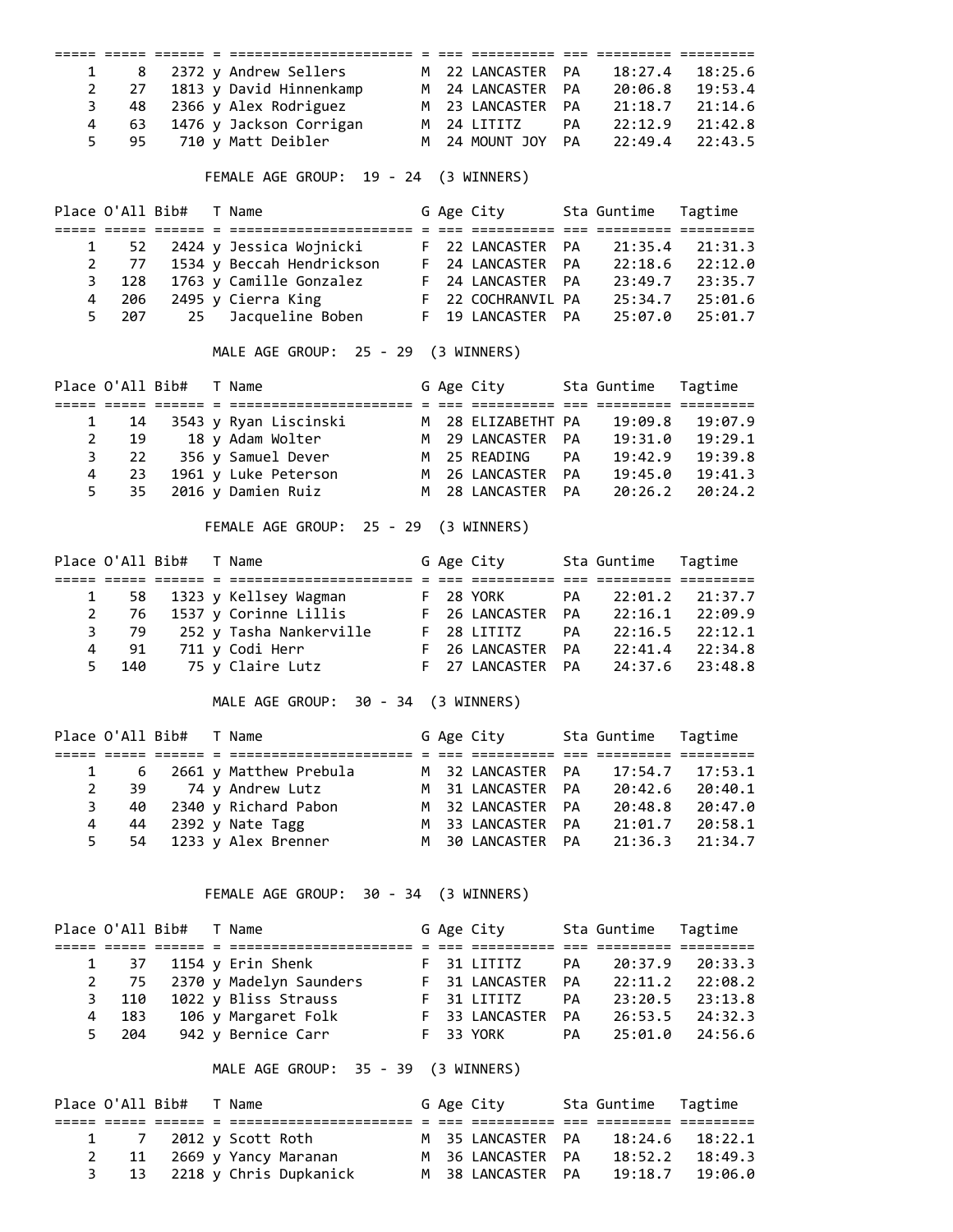|                | ===== =====                     |  |                                                                                                                                                     |                |                                |    |                          |         |
|----------------|---------------------------------|--|-----------------------------------------------------------------------------------------------------------------------------------------------------|----------------|--------------------------------|----|--------------------------|---------|
| 1              | 8                               |  | 2372 y Andrew Sellers                                                                                                                               |                | M 22 LANCASTER                 | PA | 18:27.4                  | 18:25.6 |
| $\overline{2}$ | 27                              |  | 1813 y David Hinnenkamp M 24 LANCASTER                                                                                                              |                |                                | PA | 20:06.8                  | 19:53.4 |
|                |                                 |  |                                                                                                                                                     |                |                                |    |                          |         |
| 3              | 48                              |  | 2366 y Alex Rodriguez                                                                                                                               |                | M 23 LANCASTER                 | PA | 21:18.7                  | 21:14.6 |
| 4              | 63                              |  | 1476 y Jackson Corrigan M 24 LITITZ                                                                                                                 |                |                                | PA | 22:12.9                  | 21:42.8 |
| 5              | 95                              |  | 710 y Matt Deibler                                                                                                                                  |                | M 24 MOUNT JOY                 | PA | 22:49.4                  | 22:43.5 |
|                |                                 |  | FEMALE AGE GROUP: 19 - 24 (3 WINNERS)                                                                                                               |                |                                |    |                          |         |
|                | Place O'All Bib#                |  | T Name                                                                                                                                              |                | G Age City                     |    | Sta Guntime              | Tagtime |
| 1              | 52                              |  | 2424 y Jessica Wojnicki                                                                                                                             |                | F 22 LANCASTER                 | PA | 21:35.4                  | 21:31.3 |
|                |                                 |  |                                                                                                                                                     |                |                                |    |                          |         |
| $\overline{2}$ | 77                              |  | 1534 y Beccah Hendrickson F 24 LANCASTER                                                                                                            |                |                                | PA | 22:18.6                  | 22:12.0 |
| 3              | 128                             |  | 1763 y Camille Gonzalez F 24 LANCASTER PA 23:49.7<br>2495 y Cierra King F 22 COCHRANVIL PA 25:34.7<br>25 Jacqueline Boben F 19 LANCASTER PA 25:07.0 |                |                                |    |                          | 23:35.7 |
| $\overline{4}$ | 206                             |  | Cierra King<br>Jacqueline Boben F 19 LANCASTER                                                                                                      |                |                                |    |                          | 25:01.6 |
| 5              | 207                             |  |                                                                                                                                                     |                |                                |    |                          | 25:01.7 |
|                |                                 |  | MALE AGE GROUP: 25 - 29 (3 WINNERS)                                                                                                                 |                |                                |    |                          |         |
|                | Place O'All Bib#                |  | T Name<br>anan soon oosaa a aanannoonannoonana a oo aanannoo                                                                                        |                | G Age City                     |    | Sta Guntime              | Tagtime |
| 1              | 14                              |  | 3543 y Ryan Liscinski                                                                                                                               |                | M 28 ELIZABETHT PA             |    | 19:09.8                  | 19:07.9 |
| $\overline{2}$ | 19                              |  | 18 y Adam Wolter                                                                                                                                    |                |                                | PA | 19:31.0                  | 19:29.1 |
| 3              | 22                              |  | 356 y Samuel Dever                                                                                                                                  |                | M 29 LANCASTER<br>M 25 READING | PA | 19:42.9                  | 19:39.8 |
|                |                                 |  | 1961 y Luke Peterson M 26 LANCASTER                                                                                                                 |                |                                |    | 19:45.0                  |         |
| 4              | 23                              |  |                                                                                                                                                     |                |                                | PA |                          | 19:41.3 |
| 5              | 35                              |  | 2016 y Damien Ruiz                                                                                                                                  |                | M 28 LANCASTER                 | PA | 20:26.2                  | 20:24.2 |
|                |                                 |  | FEMALE AGE GROUP: 25 - 29 (3 WINNERS)                                                                                                               |                |                                |    |                          |         |
|                | Place O'All Bib#                |  | T Name                                                                                                                                              |                | G Age City Sta Guntime         |    |                          | Tagtime |
| 1              | 58                              |  | 1323 y Kellsey Wagman                                                                                                                               |                | <b>F</b> 28 YORK               | PA | 22:01.2                  | 21:37.7 |
| $\overline{2}$ | 76                              |  | 1537 y Corinne Lillis                                                                                                                               |                | F 26 LANCASTER                 | PA | 22:16.1                  | 22:09.9 |
|                | 79                              |  |                                                                                                                                                     |                |                                |    | 22:16.5                  |         |
| 3              |                                 |  | 252 y Tasha Nankerville     F  28 LITITZ                                                                                                            |                |                                | PA |                          | 22:12.1 |
| 4              | 91                              |  | 711 y Codi Herr                                                                                                                                     |                | F 26 LANCASTER                 |    | PA 22:41.4               | 22:34.8 |
| 5              | 140                             |  | 75 y Claire Lutz                 F   27 LANCASTER                                                                                                   |                |                                | PA | 24:37.6                  | 23:48.8 |
|                |                                 |  | MALE AGE GROUP: 30 - 34 (3 WINNERS)                                                                                                                 |                |                                |    |                          |         |
|                | Place O'All Bib#<br>===== ===== |  | T Name                                                                                                                                              |                | G Age City                     |    | Sta Guntime              | Tagtime |
| 1              | 6                               |  | 2661 y Matthew Prebula                                                                                                                              |                | M 32 LANCASTER                 | PA | 17:54.7                  | 17:53.1 |
| $\overline{2}$ | 39                              |  | 74 y Andrew Lutz                                                                                                                                    |                | M 31 LANCASTER                 | PA | 20:42.6                  | 20:40.1 |
|                |                                 |  |                                                                                                                                                     |                |                                |    |                          |         |
| 3              | 40                              |  | 2340 y Richard Pabon                                                                                                                                |                | M 32 LANCASTER                 | PA | 20:48.8                  | 20:47.0 |
| 4              | 44                              |  | 2392 y Nate Tagg                                                                                                                                    |                | M 33 LANCASTER                 | PA | 21:01.7                  | 20:58.1 |
| 5              | 54                              |  | 1233 y Alex Brenner                                                                                                                                 | M <sub>1</sub> | 30 LANCASTER                   | PA | 21:36.3                  | 21:34.7 |
|                |                                 |  | FEMALE AGE GROUP: 30 - 34 (3 WINNERS)                                                                                                               |                |                                |    |                          |         |
|                | Place O'All Bib#                |  | T Name                                                                                                                                              |                | G Age City                     |    | Sta Guntime              | Tagtime |
| 1              | 37                              |  | 1154 y Erin Shenk                                                                                                                                   |                | F 31 LITITZ                    | PA | 20:37.9                  | 20:33.3 |
| $\overline{2}$ | 75                              |  | 2370 y Madelyn Saunders                                                                                                                             |                | F 31 LANCASTER                 | PA | 22:11.2                  | 22:08.2 |
| 3              | 110                             |  | 1022 y Bliss Strauss                                                                                                                                |                | F 31 LITITZ                    |    | PA 22:11.2<br>PA 23:20.5 | 23:13.8 |
| 4              |                                 |  |                                                                                                                                                     |                |                                |    | PA 26:53.5               |         |
|                | 183                             |  | 106 y Margaret Folk                                                                                                                                 |                | F 33 LANCASTER                 |    |                          | 24:32.3 |
| 5              | 204                             |  | 942 y Bernice Carr                                                                                                                                  | F              | 33 YORK                        | PA | 25:01.0                  | 24:56.6 |
|                |                                 |  | MALE AGE GROUP: 35 - 39 (3 WINNERS)                                                                                                                 |                |                                |    |                          |         |
|                | Place O'All Bib#                |  | T Name                                                                                                                                              |                | G Age City                     |    | Sta Guntime              | Tagtime |
| $\mathbf{1}$   | $\overline{7}$                  |  | 2012 y Scott Roth                                                                                                                                   |                | M 35 LANCASTER PA              |    | 18:24.6                  | 18:22.1 |
| $2^{\circ}$    | 11                              |  | 2669 y Yancy Maranan                                                                                                                                |                | M 36 LANCASTER PA              |    | 18:52.2                  | 18:49.3 |
|                |                                 |  |                                                                                                                                                     |                |                                |    |                          |         |

3 13 2218 y Chris Dupkanick M 38 LANCASTER PA 19:18.7 19:06.0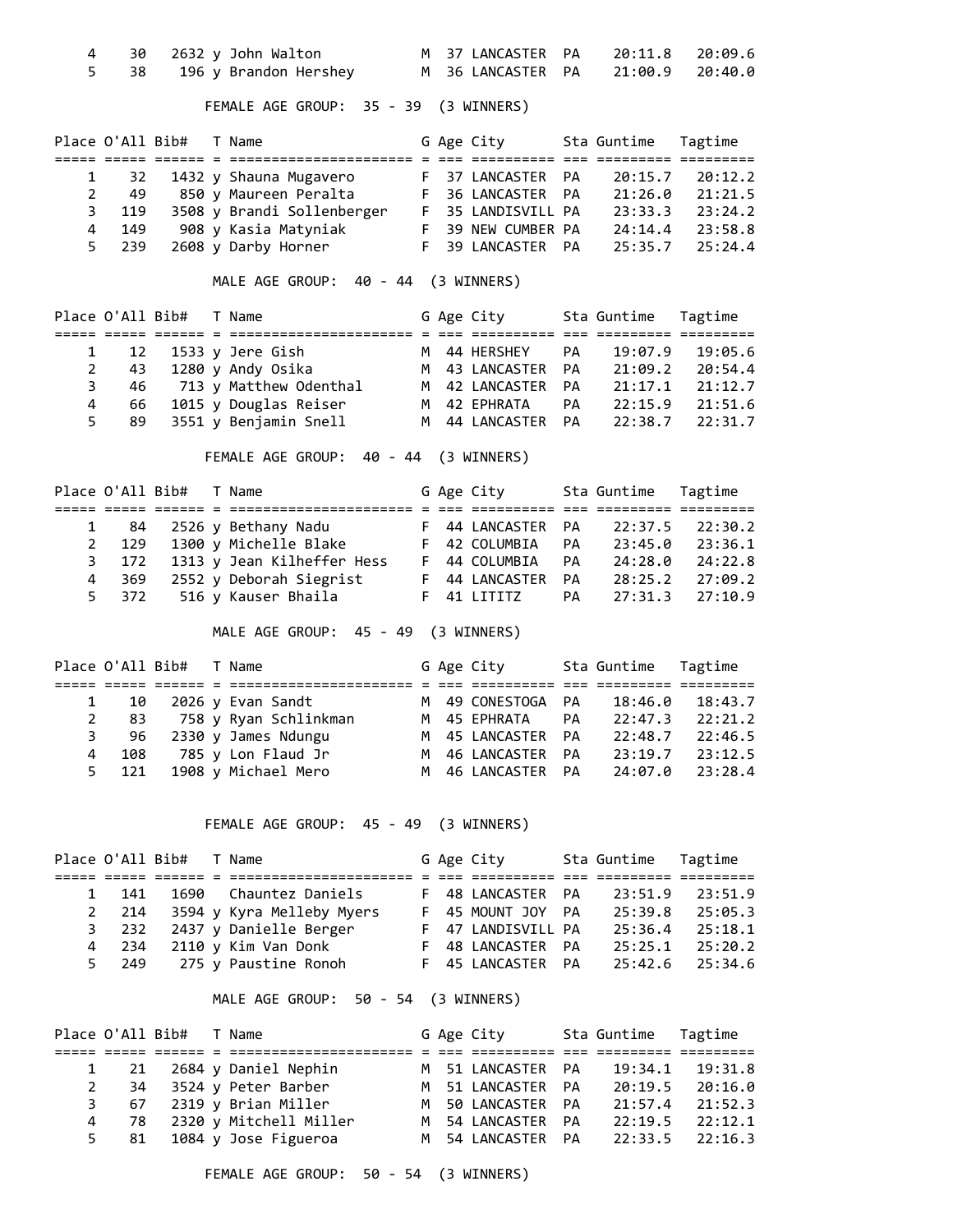|  | 30   2632 y John Walton    |  |  | M 37 LANCASTER PA 20:11.8 20:09.6 |  |
|--|----------------------------|--|--|-----------------------------------|--|
|  | 5 38 196 y Brandon Hershey |  |  | M 36 LANCASTER PA 21:00.9 20:40.0 |  |

FEMALE AGE GROUP: 35 - 39 (3 WINNERS)

|   | Place O'All Bib# |  | T Name                     |  | G Age City         | Sta Guntime Tagtime |         |
|---|------------------|--|----------------------------|--|--------------------|---------------------|---------|
|   |                  |  |                            |  |                    |                     |         |
|   | 32               |  | 1432 y Shauna Mugavero     |  | F 37 LANCASTER PA  | 20:15.7             | 20:12.2 |
| 2 | 49               |  | 850 y Maureen Peralta      |  | F 36 LANCASTER PA  | 21:26.0             | 21:21.5 |
| 3 | 119              |  | 3508 y Brandi Sollenberger |  | F 35 LANDISVILL PA | 23:33.3             | 23:24.2 |
| 4 | 149              |  | 908 y Kasia Matyniak       |  | F 39 NEW CUMBER PA | 24:14.4             | 23:58.8 |
|   | 5 239            |  | 2608 y Darby Horner        |  | F 39 LANCASTER PA  | 25:35.7             | 25:24.4 |

MALE AGE GROUP: 40 - 44 (3 WINNERS)

|    | Place O'All Bib# |  | T Name                    |  | G Age City        |           | Sta Guntime Tagtime |         |
|----|------------------|--|---------------------------|--|-------------------|-----------|---------------------|---------|
|    |                  |  |                           |  |                   |           |                     |         |
|    |                  |  | 1 12 1533 y Jere Gish     |  | M 44 HERSHEY      | PA        | 19:07.9             | 19:05.6 |
|    | 43               |  | 1280 y Andy Osika         |  | M 43 LANCASTER PA |           | 21:09.2             | 20:54.4 |
| 3  |                  |  | 46 713 y Matthew Odenthal |  | M 42 LANCASTER PA |           | 21:17.1             | 21:12.7 |
| 4  | 66               |  | 1015 y Douglas Reiser     |  | M 42 EPHRATA      | PA        | 22:15.9             | 21:51.6 |
| 5. | -89              |  | 3551 y Benjamin Snell     |  | M 44 LANCASTER    | <b>PA</b> | 22:38.7             | 22:31.7 |

FEMALE AGE GROUP: 40 - 44 (3 WINNERS)

|             |     | Place O'All Bib# T Name |                                  |  | G Age City        |           | Sta Guntime Tagtime |         |
|-------------|-----|-------------------------|----------------------------------|--|-------------------|-----------|---------------------|---------|
|             |     |                         |                                  |  |                   |           |                     |         |
|             |     |                         | 1 84 2526 y Bethany Nadu         |  | F 44 LANCASTER PA |           | 22:37.5             | 22:30.2 |
| $2^{\circ}$ |     |                         | 129 1300 y Michelle Blake        |  | F 42 COLUMBIA     | <b>PA</b> | 23:45.0             | 23:36.1 |
|             |     |                         | 3 172 1313 y Jean Kilheffer Hess |  | F 44 COLUMBIA     | <b>PA</b> | 24:28.0             | 24:22.8 |
| 4           | 369 |                         | 2552 y Deborah Siegrist          |  | F 44 LANCASTER    | <b>PA</b> | 28:25.2             | 27:09.2 |
|             |     |                         | 5 372 516 y Kauser Bhaila        |  | F 41 LITITZ       | <b>PA</b> | 27:31.3             | 27:10.9 |

MALE AGE GROUP: 45 - 49 (3 WINNERS)

|   |       | Place O'All Bib# T Name |                       |  | G Age City        |    | Sta Guntime Tagtime |         |
|---|-------|-------------------------|-----------------------|--|-------------------|----|---------------------|---------|
|   |       |                         |                       |  |                   |    |                     |         |
|   | 10    |                         | 2026 y Evan Sandt     |  | M 49 CONESTOGA PA |    | 18:46.0             | 18:43.7 |
|   | 83    |                         | 758 y Ryan Schlinkman |  | M 45 EPHRATA      | PA | 22:47.3             | 22:21.2 |
|   | 3 96  |                         | 2330 y James Ndungu   |  | M 45 LANCASTER PA |    | 22:48.7             | 22:46.5 |
| 4 | 108   |                         | 785 y Lon Flaud Jr    |  | M 46 LANCASTER PA |    | 23:19.7             | 23:12.5 |
|   | 5 121 |                         | 1908 y Michael Mero   |  | M 46 LANCASTER PA |    | 24:07.0             | 23:28.4 |

FEMALE AGE GROUP: 45 - 49 (3 WINNERS)

| Place O'All Bib# |  | T Name                    |  | G Age City         | Sta Guntime Tagtime |         |
|------------------|--|---------------------------|--|--------------------|---------------------|---------|
|                  |  |                           |  |                    |                     |         |
| 141              |  | 1690 Chauntez Daniels     |  | F 48 LANCASTER PA  | 23:51.9             | 23:51.9 |
| 2 214            |  | 3594 y Kyra Melleby Myers |  | F 45 MOUNT JOY PA  | 25:39.8             | 25:05.3 |
| 3 232            |  | 2437 y Danielle Berger    |  | F 47 LANDISVILL PA | 25:36.4             | 25:18.1 |
| 4 234            |  | 2110 y Kim Van Donk       |  | F 48 LANCASTER PA  | 25:25.1             | 25:20.2 |
| 5 249            |  | 275 y Paustine Ronoh      |  | F 45 LANCASTER PA  | 25:42.6             | 25:34.6 |

MALE AGE GROUP: 50 - 54 (3 WINNERS)

|         | Place O'All Bib# T Name |                           |  | G Age City        | Sta Guntime Tagtime |                     |
|---------|-------------------------|---------------------------|--|-------------------|---------------------|---------------------|
|         |                         |                           |  |                   |                     |                     |
|         |                         | 1 21 2684 y Daniel Nephin |  | M 51 LANCASTER PA |                     | $19:34.1$ $19:31.8$ |
|         |                         | 2 34 3524 y Peter Barber  |  | M 51 LANCASTER PA | 20:19.5             | 20:16.0             |
|         |                         | 3 67 2319 y Brian Miller  |  | M 50 LANCASTER PA |                     | $21:57.4$ $21:52.3$ |
| 78<br>4 |                         | 2320 y Mitchell Miller    |  | M 54 LANCASTER PA | 22:19.5             | 22:12.1             |
|         |                         | 5 81 1084 y Jose Figueroa |  | M 54 LANCASTER PA |                     | $22:33.5$ $22:16.3$ |

FEMALE AGE GROUP: 50 - 54 (3 WINNERS)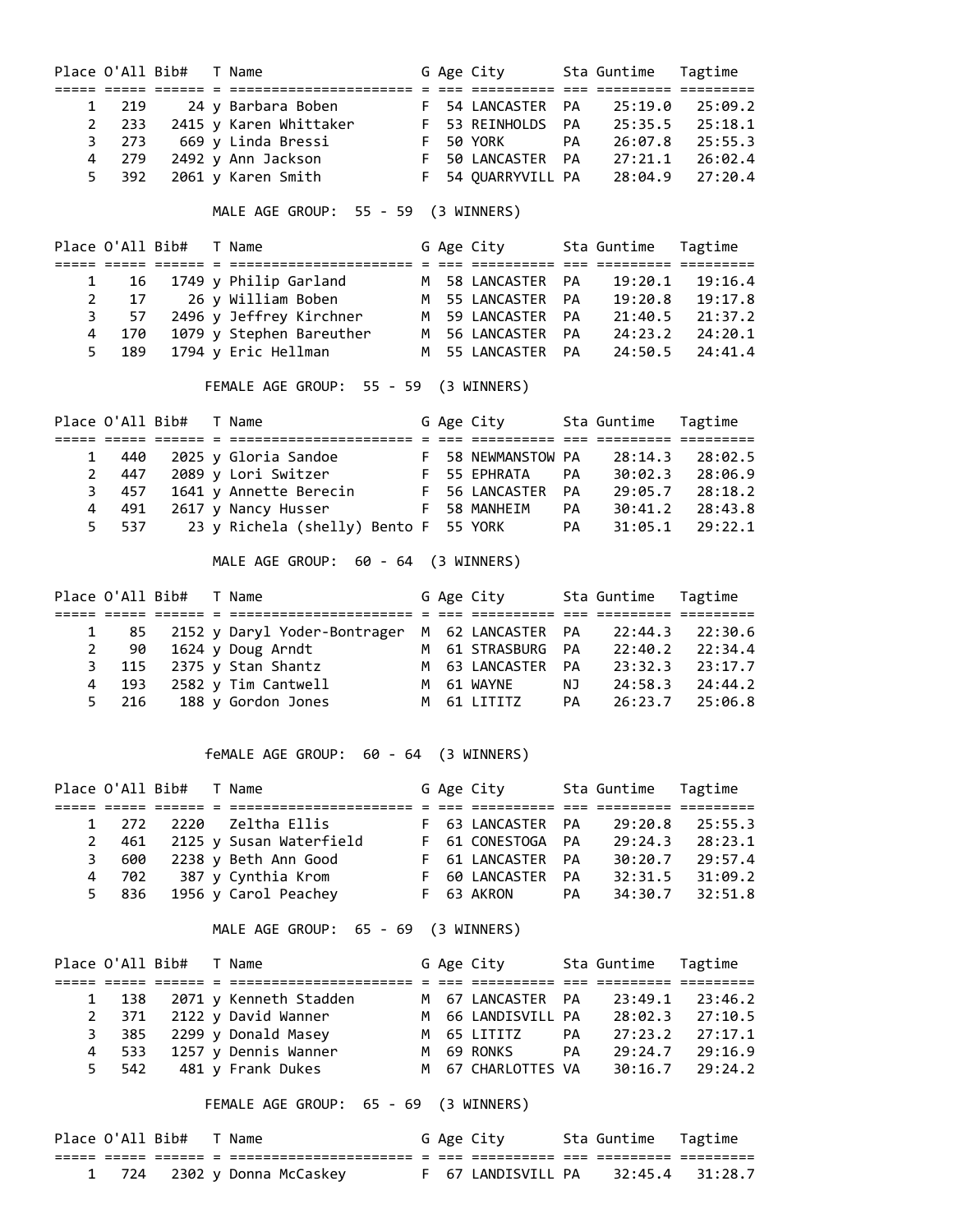|                |                  | Place O'All Bib# T Name |                                                                                                                    |  | G Age City                  |           | Sta Guntime             | Tagtime         |
|----------------|------------------|-------------------------|--------------------------------------------------------------------------------------------------------------------|--|-----------------------------|-----------|-------------------------|-----------------|
|                |                  |                         |                                                                                                                    |  |                             |           |                         | ===== ========= |
| $\mathbf{1}$   | 219              |                         | 24 y Barbara Boben                                                                                                 |  | F 54 LANCASTER              | PA        | 25:19.0                 | 25:09.2         |
| $\overline{2}$ | 233              |                         | 2415 y Karen Whittaker F 53 REINHOLDS                                                                              |  |                             | PA        | 25:35.5                 | 25:18.1         |
| 3              | 273              |                         | 669 y Linda Bressi                                                                                                 |  |                             | PA        | 26:07.8                 | 25:55.3         |
| 4              | 279              |                         | 2492 y Ann Jackson                                                                                                 |  | F 50 YORK<br>F 50 LANCASTER |           | PA 27:21.1              | 26:02.4         |
| 5              | 392              |                         | 2061 y Karen Smith                                                                                                 |  | F 54 QUARRYVILL PA 28:04.9  |           |                         | 27:20.4         |
|                |                  |                         | MALE AGE GROUP: 55 - 59 (3 WINNERS)                                                                                |  |                             |           |                         |                 |
|                |                  |                         |                                                                                                                    |  |                             |           |                         |                 |
|                |                  | Place O'All Bib# T Name |                                                                                                                    |  | G Age City                  |           | Sta Guntime             | Tagtime         |
| 1              | 16               |                         | 1749 y Philip Garland                                                                                              |  | M 58 LANCASTER              | PA        | 19:20.1                 | 19:16.4         |
| $\overline{2}$ | 17               |                         | 26 y William Boben                                                                                                 |  | M 55 LANCASTER              | PA        |                         | 19:17.8         |
| 3              | 57               |                         | 2496 y Jeffrey Kirchner                                                                                            |  | M 59 LANCASTER              | PA        | 19:20.8<br>21:40.5      | 21:37.2         |
| 4              | 170              |                         | 1079 y Stephen Bareuther M 56 LANCASTER                                                                            |  |                             | PA        | 24:23.2                 | 24:20.1         |
| 5              | 189              |                         | 1794 y Eric Hellman                                                                                                |  | M 55 LANCASTER              | PA        | 24:50.5                 | 24:41.4         |
|                |                  |                         | FEMALE AGE GROUP: 55 - 59 (3 WINNERS)                                                                              |  |                             |           |                         |                 |
|                | Place O'All Bib# |                         | T Name                                                                                                             |  | G Age City                  |           | Sta Guntime             | Tagtime         |
|                |                  |                         |                                                                                                                    |  |                             |           |                         |                 |
| $\mathbf{1}$   | 440              |                         |                                                                                                                    |  |                             |           | 28:14.3                 | 28:02.5         |
| $\overline{2}$ | 447              |                         | 2025 y Gloria Sandoe               F   58 NEWMANSTOW PA<br>2089 y Lori Switzer               F   55 EPHRATA     PA |  |                             |           | 30:02.3                 | 28:06.9         |
| 3              | 457              |                         | 1641 y Annette Berecin F 56 LANCASTER                                                                              |  |                             |           | PA 29:05.7              | 28:18.2         |
| 4              | 491              |                         | 2617 y Nancy Husser                                                                                                |  | F 58 MANHEIM                |           | PA 30:41.2              | 28:43.8         |
| 5              | 537              |                         | 23 y Richela (shelly) Bento F 55 YORK                                                                              |  |                             | <b>PA</b> | 31:05.1                 | 29:22.1         |
|                |                  |                         | MALE AGE GROUP: 60 - 64 (3 WINNERS)                                                                                |  |                             |           |                         |                 |
|                | Place O'All Bib# |                         | T Name                                                                                                             |  | G Age City Sta Guntime      |           |                         | Tagtime         |
|                |                  |                         |                                                                                                                    |  |                             |           |                         |                 |
| 1              | 85               |                         | 2152 y Daryl Yoder-Bontrager M 62 LANCASTER                                                                        |  |                             | PA        | 22:44.3                 | 22:30.6         |
| $\overline{2}$ | 90               |                         | 1624 y Doug Arndt                                                                                                  |  | M 61 STRASBURG              | PA        | 22:40.2                 | 22:34.4         |
| 3              | 115              |                         | M 63 LANCASTER<br>2375 y Stan Shantz                                                                               |  |                             |           | PA 23:32.3              | 23:17.7         |
| 4              | 193              |                         | 2582 y Tim Cantwell<br>M 61 WAYNE                                                                                  |  |                             |           | NJ 24:58.3              | 24:44.2         |
| 5              | 216              |                         | 188 y Gordon Jones                                                                                                 |  | M 61 LITITZ                 | PA        | 26:23.7                 | 25:06.8         |
|                |                  |                         |                                                                                                                    |  |                             |           |                         |                 |
|                |                  |                         | feMALE AGE GROUP: 60 - 64 (3 WINNERS)                                                                              |  |                             |           |                         |                 |
|                | Place O'All Bib# |                         | T Name                                                                                                             |  | G Age City                  |           | Sta Guntime             | Tagtime         |
|                |                  |                         |                                                                                                                    |  |                             |           | === ========= ========= |                 |
| 1              | 272              | 2220                    | Zeltha Ellis                                                                                                       |  | F 63 LANCASTER              | PA        | 29:20.8                 | 25:55.3         |
| $\overline{2}$ | 461              |                         | 2125 y Susan Waterfield                                                                                            |  | F 61 CONESTOGA              | PA        | 29:24.3                 | 28:23.1         |
| 3              | 600              |                         | 2238 y Beth Ann Good                                                                                               |  | F 61 LANCASTER              | PA        | 30:20.7                 | 29:57.4         |
| 4              | 702              |                         | 387 y Cynthia Krom                                                                                                 |  | F 60 LANCASTER              | PA        | 32:31.5                 | 31:09.2         |
| 5              | 836              |                         | 1956 y Carol Peachey                                                                                               |  | F 63 AKRON                  | PA        | 34:30.7                 | 32:51.8         |
|                |                  |                         | MALE AGE GROUP: 65 - 69 (3 WINNERS)                                                                                |  |                             |           |                         |                 |
|                | Place O'All Bib# |                         | T Name                                                                                                             |  | G Age City                  |           | Sta Guntime             | Tagtime         |
|                |                  |                         |                                                                                                                    |  |                             |           |                         |                 |
| 1              | 138              |                         | 2071 y Kenneth Stadden                                                                                             |  | M 67 LANCASTER              | PA        | 23:49.1                 | 23:46.2         |
| $\overline{2}$ | 371              |                         | 2122 y David Wanner                                                                                                |  | M 66 LANDISVILL PA          |           | 28:02.3                 | 27:10.5         |
| 3              | 385              |                         | 2299 y Donald Masey                                                                                                |  | M 65 LITITZ                 | PA        | 27:23.2                 | 27:17.1         |
| 4              | 533              |                         | 1257 y Dennis Wanner                                                                                               |  | M 69 RONKS                  | <b>PA</b> | 29:24.7                 | 29:16.9         |
| 5              | 542              |                         | 481 y Frank Dukes                                                                                                  |  | M 67 CHARLOTTES VA          |           | 30:16.7                 | 29:24.2         |
|                |                  |                         | FEMALE AGE GROUP: 65 - 69 (3 WINNERS)                                                                              |  |                             |           |                         |                 |
|                |                  |                         |                                                                                                                    |  |                             |           |                         |                 |
|                |                  |                         |                                                                                                                    |  |                             |           |                         |                 |

| Place O'All Bib# |  | Name                        |  | G Age City         | Sta Guntime - Tagtime |  |
|------------------|--|-----------------------------|--|--------------------|-----------------------|--|
|                  |  |                             |  |                    |                       |  |
|                  |  | 1 724 2302 y Donna McCaskey |  | F 67 LANDISVILL PA | 32:45.4 31:28.7       |  |